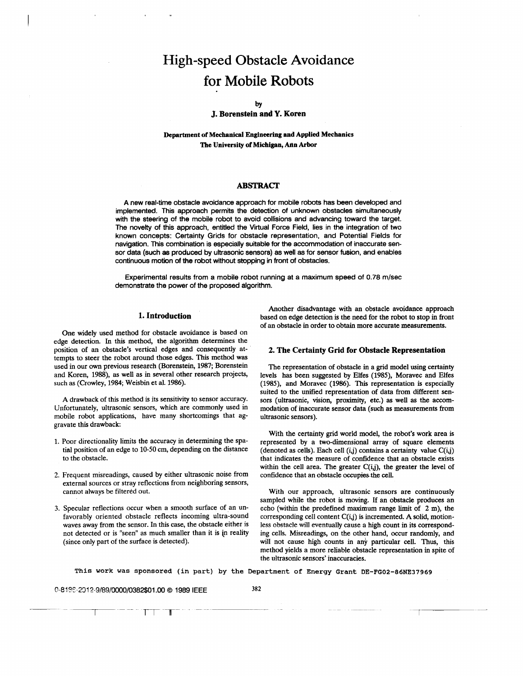# **High-speed Obstacle Avoidance for Mobile Robots**

# **by J. Borenstein and Y. Koren**

**Department of Mechanical Engineering and Applied Mechanics The University of Michigan, Ann Arbor** 

# **ABSTRACT**

**A new real-time obstacle avoidance approach for mobile robots has been developed and implemented. This approach permits the detection** of **unknown obstacles simultaneously with the steering** of **the mobile robot to avoid collisions and advancing toward the target. The novelty of this approach, entitled the Virtual Force Field, lies in the integration of two known concepts: Certainty Grids for obstacle representation, and Potential Fields for navigation. This combination is especially suitable for the accommodation of inaccurate sen**sor data (such as produced by ultrasonic sensors) as well as for sensor fusion, and enables **continuous motion of the robot without stopping in front of obstacles.** 

**Experimental results from a mobile robot running at a maximum speed of 0.78 m/sec demonstrate the power** of **the proposed algorithm.** 

# **1. Introduction**

One widely used method for obstacle avoidance is based on edge detection. In this method, the algorithm determines the position of an obstacle's vertical edges and consequently attempts to steer the robot around those edges. This method was used in our **own** previous research (Borenstein, 1987; Borenstein and Koren, 1988), as well as in several other research projects, such as (Crowley, 1984; Weisbin et al. 1986).

A drawback of this method is its sensitivity to sensor accuracy. Unfortunately, ultrasonic sensors, which are commonly used in mobile robot applications, have many shortcomings that aggravate this drawback

- 1. Poor directionality limits the accuracy in determining the spatial position of an edge to 10-50 cm, depending on the distance to the obstacle.
- 2. Frequent misreadings, caused by either ultrasonic noise from external sources or stray reflections from neighboring sensors, cannot always be filtered out.
- 3. Specular reflections occur when a smooth surface of an unfavorably oriented obstacle reflects incoming ultra-sound waves away from the sensor. In this case, the obstacle either is not detected or is "seen" as much smaller than it is in reality (since only part of the surface is detected).

Another disadvantage with an obstacle avoidance approach based on edge detection is the need for the robot to stop in front of an obstacle in order to obtain more accurate measurements.

# **2. The Certainty Grid for Obstacle Representation**

The representation of obstacle in a grid model using certainty levels has been suggested by Elfes (1985), Moravec and Elfes (1989, and Moravec (1986). **This** representation is especially suited to the unified representation of data from different sensors (ultrasonic, vision, proximity, etc.) as well **as** the accommodation of inaccurate sensor data (such as measurements from ultrasonic sensors).

With the certainty grid world model, the robot's work area is represented by a two-dimensional array of square elements (denoted as cells). Each cell  $(i,j)$  contains a certainty value  $C(i,j)$ that indicates the measure of confidence that an obstacle exists within the cell area. The greater  $C(i,j)$ , the greater the level of confidence that an obstacle occupies.the cell.

With our approach, ultrasonic sensors are continuously sampled while the robot is moving. If an obstacle produces an echo (within the predefined maximum range limit of 2 m), the corresponding cell content C(ij) is incremented. A solid, motionless obstacle will eventually cause a high count in its corresponding cells. Misreadings, on the other hand, occur randomly, and will not cause high counts in any particular cell. Thus, this method yields a more reliable obstacle representation in spite of the ultrasonic sensors' inaccuracies.

**This work was** sponsored (in part) **by** the Department of Energy Grant DE-FG02-86NE37969

# @-8loF-2312-9/89/0000/0382\$01.00 *0* **1989 IEEE 382**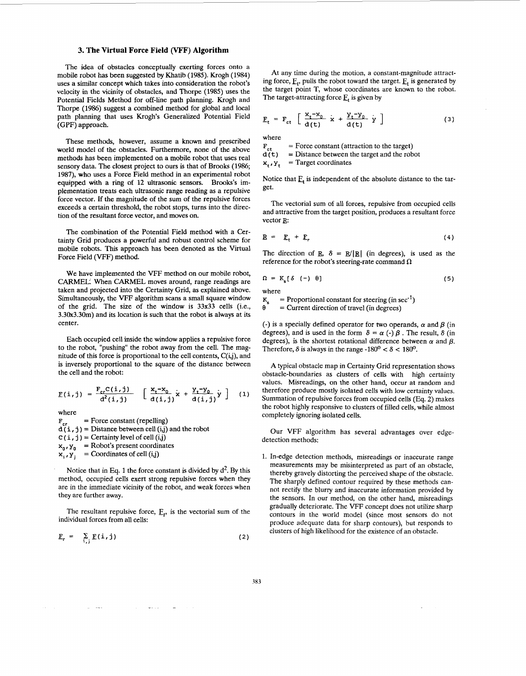#### **3. The Virtual Force Field (VFF) Algorithm**

The idea of obstacles conceptually exerting forces onto a mobile robot has been suggested by Khatib (1985). Krogh (1984) uses a similar concept which takes into consideration the robot's velocity in the vicinity of obstacles, and Thorpe (1985) uses the Potential Fields Method for off-line path planning. Krogh and Thorpe (1986) suggest a combined method for global and local path planning that uses Krogh's Generalized Potential Field (GPF) approach.

These methods, however, assume a known and prescribed world model of the obstacles. Furthermore, none of the above methods has been implemented on a mobile robot that uses real sensory data. The closest project to ours is that of Brooks (1986; 1987), who uses a Force Field method in an experimental robot equipped with a ring of **12** ultrasonic sensors. Brooks's implementation treats each ultrasonic range reading as a repulsive force vector. If the magnitude of the sum of the repulsive forces exceeds a certain threshold, the robot stops, turns into the direction of the resultant force vector, and moves on.

The combination of the Potential Field method with a Certainty Grid produces a powerful and robust control scheme for mobile robots. This approach has been denoted as the Virtual Force Field (VFF) method.

We have implemented the VFF method on our mobile robot, CARMEL: When CARMEL moves around, range readings are taken and projected into the Certainty Grid, as explained above. Simultaneously, the VFF algorithm scans a small square window of the grid. The size of the window is 33x33 cells (i.e., 3.30x3.30m) and its location is such that the robot is always at its center.

Each occupied cell inside the window applies a repulsive force to the robot, "pushing" the robot away from the cell. The magnitude of this force is proportional to the cell contents,  $C(i,j)$ , and **is** inversely proportional to the square of the distance between the cell and the robot:

$$
F(i,j) = \frac{F_{cr}C(i,j)}{d^2(i,j)} \left[ \frac{x_t - x_0}{d(i,j)} x + \frac{y_t - y_0}{d(i,j)} y \right] (1)
$$

where

= Force constant (repelling)  $d(i, j)$  = Distance between cell (i,j) and the robot  $c(i, j)$  = Certainty level of cell  $(i,j)$ **xo** *yo*  **xi** yj = Robot's present coordinates  $=$  Coordinates of cell  $(i,j)$ 

Notice that in Eq. 1 the force constant is divided by  $d^2$ . By this method, occupied cells exert strong repulsive forces when they are in the immediate vicinity of the robot, and weak forces when they are further away.

The resultant repulsive force,  $E_r$ , is the vectorial sum of the individual forces from all cells:

$$
\underline{F}_r = \sum_{i,j} \underline{F}(i,j) \tag{2}
$$

 $\frac{1}{2}$  . . .

At any time during the motion, a constant-magnitude attracting force,  $E_t$ , pulls the robot toward the target.  $\overline{F_t}$  is generated by the target point T, whose coordinates are known to the robot. The target-attracting force  $\mathbf{F}_t$  is given by

$$
\underline{F}_t = F_{ct} \left[ \frac{x_t - x_0}{d(t)} \dot{x} + \frac{y_t - y_0}{d(t)} \dot{y} \right]
$$
 (3)

where

 $\mathbf{F}_{\text{ct}}$  $\widetilde{d(t)}$  $x_t$ ,  $y_t$  = Target coordinates = Force constant (attraction to the target) = Distance between the target and the robot

Notice that  $E_t$  is independent of the absolute distance to the target.

The vectorial sum of all forces, repulsive from occupied cells and attractive from the target position, produces a resultant force vector **R**:

$$
\mathbf{R} = \mathbf{E}_{t} + \mathbf{E}_{r} \tag{4}
$$

The direction of **g**,  $\delta = \frac{R}{|R|}$  (in degrees), is used as the reference for the robot's steering-rate command  $\Omega$ 

$$
\Omega = K_{s}[\delta (-)\theta]
$$
 (5)

where

**K,**   $=$  Proportional constant for steering (in sec<sup>-1</sup>)

**8**  = Current direction of travel (in degrees)

(-) is a specially defined operator for two operands, *a* and *p* (in degrees), and is used in the form  $\delta = \alpha$  (-)  $\beta$ . The result,  $\delta$  (in degrees), is the shortest rotational difference between  $\alpha$  and  $\beta$ . Therefore,  $\delta$  is always in the range -180<sup>o</sup> <  $\delta$  < 180<sup>o</sup>.

A typical obstacle map in Certainty Grid representation shows obstacle-boundaries as clusters of cells with high certainty values. Misreadings, on the other hand, occur at random and therefore produce mostly isolated cells with low certainty values. Summation of repulsive forces from occupied cells (Eq. **2)** makes the robot highly responsive to clusters of filled cells, while almost completely ignoring isolated cells.

Our VFF algorithm has several advantages over edgedetection methods:

1. In-edge detection methods, misreadings or inaccurate range measurements may be misinterpreted as part of an obstacle, thereby gravely distorting the perceived shape of the obstacle. The sharply defined contour required by these methods cannot rectify the blurry and inaccurate information provided by the sensors. In our method, on the other hand, misreadings gradually deteriorate. The VFF concept does not utilize sharp contours in the world model (since most sensors do not produce adequate data for sharp contours), but responds to clusters of high likelihood for the existence of an obstacle.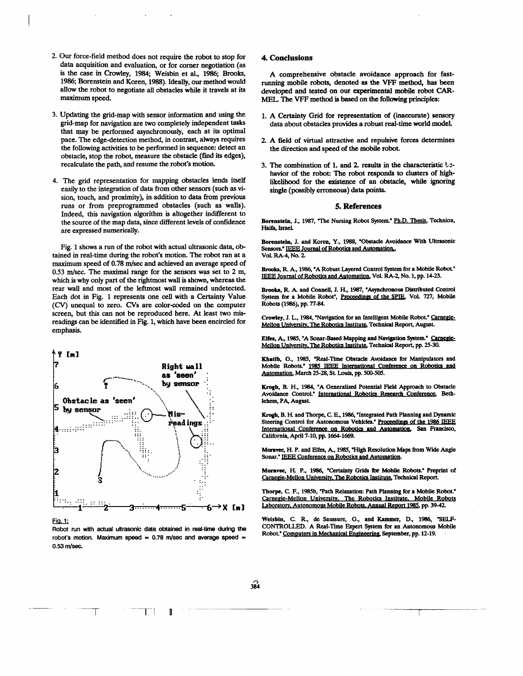- **2.** Our force-field method does not require the robot to stop for data acquisition and evaluation, or for comer negotiation **(as**  is the case in Crowley, 1984; Weisbin et al., **1986,** Brooks, 1986; Borenstein and Koren, **1988).** Ideally, our method would allow the robot to negotiate all obstacles while it travels at its maximum speed.
- Updating the grid-map with sensor information and using the grid-map for navigation are two completely independent tasks that may be performed asynchronously, each at its optimal pace. The edge-detection method, in contrast, always requires the following activities to be performed in sequence: detect an obstacle, stop the robot, measure the obstacle (find its edges), recalculate the path, and resume the robot's motion.
- The grid representation for mapping obstacles lends itself easily to the integration of data from other sensors (such as vision, touch, and proximity), in addition to data from previous runs or from preprogrammed obstacles (such as walls). Indeed, this navigation algorithm is altogether indifferent to the source of the map data, since different levels of confidence are expressed numerically.

[Fig. 1](#page-4-0) shows a run of the robot with actual ultrasonic data, obtained in real-time during the robot's motion. The robot ran at a maximum speed of 0.78 m/sec and achieved an average speed of 0.53 m/sec. The maximal range for the sensors was set to 2 m, which is why only part of the rightmost wall is shown, whereas the rear wall and most of the leftmost wall remained undetected. Each dot in [Fig. 1](#page-4-0) represents one cell with a Certainty Value **(CV)** unequal **to** zero. **CVs** are color-coded on the computer screen, but this *can* not be reproduced here. At least two misreadings can be identified in Fig. 1, which have been encircled for emphasis.



Fig. 1:

T

**Robot run with actual** ultrasonic **data obtained in real-time** during the robot's motion. Maximum speed =  $0.78$  m/sec and average speed = 0.53 m/sec.

TП

I

#### **4. Conclusions**

A comprehensive obstacle avoidance approach for fastrunning mobile robots, denoted **as the** VFF method, **has** been developed and tested on **our experimental** mobile robot *CAR-***MEL The** VFF method is based on **the** following principles:

- 1. A **Certainty** Grid for representation of (inaccurate) **sensory**  data about obstacles provides a robust real-time world model.
- *2.* A field of virtual attractive and repulsive forces determines the direction and speed **of** the mobile robot.
- 3. The combination of 1, and 2, results in the characteristic **be**havior of the robot: The robot responds to clusters of highlikelihood for the existence of an obstacle, while ignoring single **(possibly** erroneous) data points.

#### **5. References**

Borenstein, J., 1987, "The Nursing Robot System." Ph.D. Thesis, Technion, **Haifa,** Israel.

**Borenstein. J.** and Koren, **Y.,** 1988, 'Obstade Avoidance With Ultrasonic Sensors." IEEE Journal of Robotics and Automation, **Vol. RA-4,** No. *2* 

Brooks, R. A., 1986, "A Robust Lavered Control System for a Mobile Robot." **F.FR Joum** a1 of Robotics and Automa tion. **Vol. RA-2,** No. 1. **pp.** 14-23.

Brooks, R. A. and Connell, J. H., 1987, "Asynchronous Distributed Control System for a Mobile Robot", Proceedings of the SPIE. Vol. 727, Mobile Robots (1986), **pp.** *77-84.* 

Crowley, J. L., 1984, "Navigation for an Intelligent Mobile Robot." Carnegie-Mellon University. The Robotics Institute. Technical Report, August.

**Elfer, A,** 1985, 'A **Sonar-Based Mapping** and Navigation System' Mellon University, The Robotics Institute, Technical Report, pp. 25-30.

**Khatib, O.,** 1985, "Real-Time Obstack Avoidaace for **Manipulatom** and Mobile Robots." 1985 IEEE International Conference on Robotics and Automation. March **25-28, St.** Louis, **pp.** *500-505.* 

**Krogh. B. H.,** 1984, "A Generalized Potential Reld **Approach** to Obstacle Avoidance Control." International Robotics Research Conference, Bethlehem, PA, August.

*Krogb,* **B. H.** and **Thorpe,** C E, 1986, 'Integrated Path Planning and Dynamic Steering Control for Autonomous Vehicles." Proceedings of the 1986 IEEE International Conference on Robotics and Automation. San Francisco, **California, April 7-10, pp. 1664-1669.** 

**Mmvec,** H. P. and **Elfes,** A., 1985, **Wgh** Resolution **Maps** from Wide Angle Sonar." **IEEE Conference on Robotics and Automation**.

**Moravec, H. P., 1986, "Certainty Grids for Mobile Robots." Preprint of** Carnegie-Mellon University. The Robotics Institute, Technical Report.

**Thorpe, C E,** 1983). "Path Relaxation: Path **Planning** for a **Mobile** Robot.' Carnegie-Mellon University. The Robotics Institute. Mobile Robots Laboratory, Autonomous Mobile Robots, Annual Report 1985, pp. 39-42.

**Weisbin,** *C* **R,** de Saussure, *G.,* **and** Kammer, D., 1986, "SELF-**CONTROLLED.** A Real-Time Expert **System** for an Autonomous Mobile Robot." Computers in Mechanical Engineering, September, pp. 12-19.

 $384$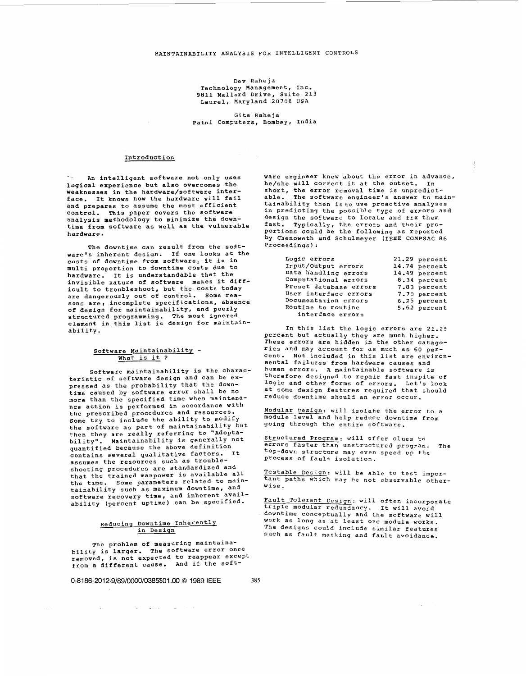Dev Raheja Technology Management, Inc. **9811** Mallard Drive, Suite **213**  Laurel, Maryland **20708** USA

Gita Rahe ja Patni Computers, Rombay, India

#### Introduction

An intelligent software not only uses logical experience but also overcomes the weaknesses in the hardware/software interface. It knows how the hardware will fail and prepares to assume the most efficient control. This paper covers the software analysis methodology to minimize the downtime from software as well as the vulnerable hardware.

The downtime can result from the software's inherent design. If one looks at the costs of downtime from software, it is in multi proportion to downtime costs due to hardware. It is understandable that the invisible nature of software makes it difficult to troubleshoot, but the costs today are dangerously out of control. Some reasons are: incomplete specifications, absence of design for maintainability, and poorly structured programming. The most ignored element in this list is design for maintainability.

## Software Maintainability - What is it ?

Software maintainability is the characteristic of software design and can be expressed as the probability that the downtime caused by software error shall be no more than the specified time when maintenance action is performed in accordance with the prescribed procedures and resources. Some try to include the ability to modify the software as part of maintainability but then they are really referring to "Adoptability". Maintainability is generally not quantified because the above definition contains several qualitative factors. It assumes the resources such as troubleshooting procedures are standardized and that the trained manpower is available all the time. Some parameters related to maintainability such as maximum downtime, and software recovery time, and inherent avail-ability (percent uptime) can be specified.

## Reducing Downtime Inherently in Design

The problem of measuring maintainability is larger. The software error once removed, is not expected to reappear except from a different cause. And if the soft-

**0-8186-2012-9/89/0000/0385\$01** *.CO 0* 1989 IEEE **<sup>385</sup>**

والمتحادث والمستعدد والمنافس والمتحدث والمتناول

ware engineer knew about the error in advance, he/she will correct it at the outset. In short, the error removal time is unpredict-able. The software engineer's answer to maintainability then isto use proactive analyses in predicting the possible type of errors and design the software to locate and fix them fast. Typically, the errors and their proportions could be the following as reported by Chenoweth and Schulmeyer (IEEE COMPSAC **86**  Proceedings) :

ł

| Logic errors           | 21.29 percent |  |
|------------------------|---------------|--|
| Input/Output errors    | 14.74 percent |  |
| Data handling errors   | 14.49 percent |  |
| Computational errors   | 8.34 percent  |  |
| Preset database errors | 7.83 percent  |  |
| User interface errors  | 7.70 percent  |  |
| Documentation errors   | 6.25 percent  |  |
| Routine to routine     | 5.62 percent  |  |
| interface errors       |               |  |

In this list the logic errors are **21.29**  percent but actually they are much higher. These errors are hidden in the other catagories and may account for as much as **60** percent. Not included in this list are environmental failures from hardware causes and human errors. A maintainable software is therefore designed to repair fast inspite of logic and other forms of errors. Let's look at some design features required that should reduce downtime should an error occur.

Modular Design: will isolate the error to a module level and help reduce downtime from going through the entire software.

Structured Program: will offer clues to errors faster than unstructured program. The top-down structure may even speed up the process of fault isolation.

Testable Design: will be able to test important paths which may be not observable otherwise.

Fault Tolerant Design: will often incorporate triple modular redundancy. It will avoid downtime conceptually and the software will **work** as long as at least one module works. The designs could include similar features such as fault masking and fault avoidance.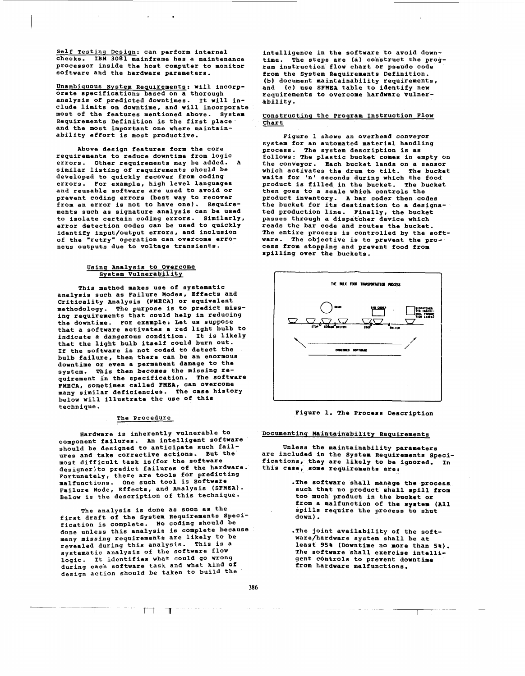<span id="page-4-0"></span>**Self Testing Design: can perform internal checks. IBM 3081 mainframe has a maintenance processor inside the host computer to monitor software and the hardware parameters.** 

**Unambiguous System Requirements: will incorp-orate specifications based on a thorough analysis of predicted downtimes. It will include limits on downtime, and will incorporate most of the features mentioned above. System Requirements Definition is the first place and the most important one where maintainability effort is most productive.** 

**Above design features form the core requirements to reduce downtime from logic errors. Other requirements may be added. A similar listing of requirements should be developed to quickly recover from Coding errors. For example, high level languages and reusable software are used to avoid 01 prevent coding errors (best way to recover from an error** *is* **not to have one). Requirements such as signature analysis can be used to isolate certain coding errors. Similarly, error detection codes can be used to quickly identify input/output errors, and inclusion of the "retry" operation can overcome erroneus outputs due to voltage transients.** 

#### **Using Analysis to Overcome System Vulnerability**

**This method makes use of systematic analysis such as Failure Modes, Effects and Criticality Analysis (PMECA) or equivalent methodology. The purpose is to predict missing requirements that could help in reducing the downtime. For example: Let us suppose that a software activates a red light bulb to indicate a dangerous condition. It is likely that the light bulb itself could burn out. If the software is not coded to detect the bulb failure, then there can be an enormous downtime or even a permanent damage to the system. This then becomes the missing requirement in the specification. The software FMECA. sometimes called FMEA, can overcome many similar deficiencies. The case history below will illustrate the use of this technique.** 

#### **The procedure**

**Hardware is inherently vulnerable to component failures.** *An* **intelligent software should be designed to anticipate such failures and take corrective actions. But the most difficult task is(for the software designerlto predict failures of the hardware. Fortunately, there are tools for predicting malfunctions. One such tool is Software Failure Mode, Effects, and Analysis (SFMEA). Below is the description of this technique.** 

**The analysis is done as soon as the first draft of the System Requirements Speci**fication is complete. No coding should be **done unless this analysis is complete because many missing requirements are likely to be revealed during this analysis. This is a systematic analysis of the software flow logic. It identifies what could go wrong during each software task and what kind of design action should be taken to build the** 

 $\begin{tabular}{ll} $\mathbb{Z}^{\times} \mathbb{Z}^{\times} \times \mathbb{Z}^{\times} \times \mathbb{Z}^{\times} \times \mathbb{Z}^{\times} \times \mathbb{Z}^{\times} \times \mathbb{Z}^{\times} \times \mathbb{Z}^{\times} \times \mathbb{Z}^{\times} \times \mathbb{Z}^{\times} \times \mathbb{Z}^{\times} \times \mathbb{Z}^{\times} \times \mathbb{Z}^{\times} \times \mathbb{Z}^{\times} \times \mathbb{Z}^{\times} \times \mathbb{Z}^{\times} \times \mathbb{Z}^{\times} \times \mathbb{Z}^{\times}$ 

**intelligence in the software to avoid downtime. The steps are (a) construct the prog-ram instruction flow chart or pseudo code from the System Requirements Definition. (b) document maintainability requirements, and (c) use SFMEA table to identify new requirements to overcome hardware vulner-Ability.** 

#### **Constructing the Program Instruction Plow Chart**

**Figure 1 shows an overhead conveyor system for an automated material handling process. The system description is as follows: The plastic bucket comes in empty on the conveyor. Each bucket lands on a sensor which activates the drum to tilt. The bucket waits for In' seconds during which the food product is filled in the bucket. The bucket then goes to a saale which controls the product inventory. A bar coder then codes the bucket for its destination to a designated production line. Finally, the bucket passes through a dispatcher device which reads the bar code and routes the bucket. The entire process is controlled by the software. The objective is to prevent the process from stopping and prevent food from spilling over the buckets.** 



#### **Figure 1. The Process Description**

# **Documenting Maintainability Requirements**

**Unless the maintainability parameters are included in the System Requirements Specifications, they are likely to be ignored. In**  this case, some requirements are:

> **.The software shall manage the process such that no product shall spill from too much product in the bucket or**  from a malfunction of the system (All **spills require the process to shut down).**

**.The joint availability of the software/hardware system shall be at least 95% (Downtime no more than 59). The software shall exercise intelligent controls to prevent downtime from hardware malfunctions.** 

386

 $\phi(\vec{r}) = \phi(\vec{r})$  is

 $\sim$   $\sim$   $\sim$   $\sim$   $\sim$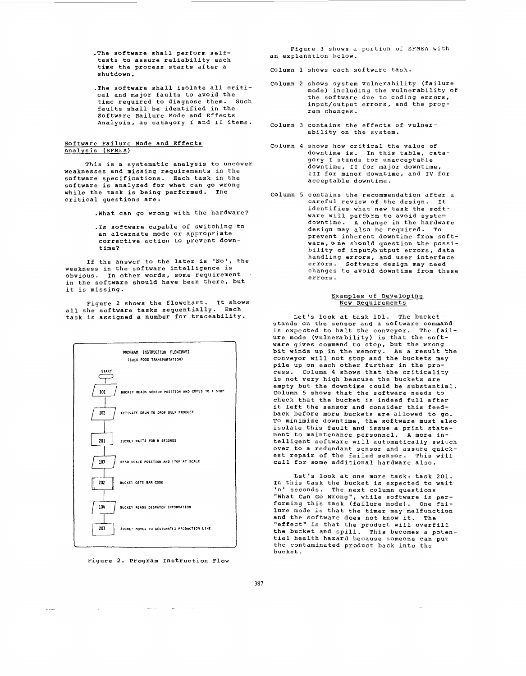.The software shall perform selftests to assure reliability each time the process starts after a shutdown.

.The software shall isolate all critical and major faults to avoid the time required to diagnose them. Such faults shall be identified in the Software Railure Mode and Effects Analysis, as catagory I and I1 items.

#### Software Failure Mode and Effects Analysis (SFMEA)

This **is** a systematic analysis to uncover weaknesses and missing requirements in the software specifications. Each task in the software is analyzed for what can go wrong while the task is being performed. The critical questions are:

.What can go wrong with the hardware?

.Is software capable of switching to an alternate mode or appropriate corrective action to prevent downtime?

If the answer to the later is 'No', the weakness in the software intelligence is<br>obvious. In other words, some requirement In other words, some requirement in the software should have been there, but it is missing.

Figure *2* shows the flowchart. It shows all the software tasks sequentially. Each task is assigned a number for traceability.



Figure *2.* Program Instruction Flow

القارب المنتقل المنا

 $\alpha$  , and  $\alpha$ 

[Figure](#page-6-0) *3* shows a portion of **SFMEA** with an explanation below.

Column 1 shows each software task.

- Column **2** shows system vulnerability (failure mode) including the vulnerability of the software due to coding errors, input/output errors, and the program changes.
- Column **3** contains the effects of vulnerability on the system.
- Column 4 shows how critical the value of downtime is. In this table, catagory I stands for un'acceptable downtime, **11** for major downtime, I11 for minor downtime, and IV for acceptable downtime.
- Column 5 contains the recommendation after a careful review of the design. It identifies what new task the software will perform to avoid system downtime. A change in the hardware design may also be required. To prevent inherent downtime from software, one should question the possibility of input/output errors, data handling errors, and user interface errors. Software design may need changes to avoid downtime from these errors.

#### Examples of Developinq New Requirements

Let's look at task 101. The bucket stands on the sensor and a software command is expected to halt the conveyor. The failure mode (vulnerability) is that the software gives command to stop, but the wrong bit winds up in the memory. As a result the conveyor will not stop and the buckets may pile up on each other further in the process. Column **4** shows that the criticality is not very high beacuse the buckets are empty but the downtime could be substantial. Column 5 shows that the software needs to check that the bucket is indeed full after it left the sensor and consider this feedback before more buckets are allowed to go. To minimize downtime, the software must also isolate this fault and issue a print statement to maintenance personnel. A more intelligent software will automatically switch over to a redundant sensor and assure quickest repair of the failed sensor. This will call for some additional hardware also.

Let's look at one more task: task 201. In this task the bucket is expected to wait 'n' seconds. The next column questions "What Can Go Wrong", while software is performing this task (failure mode). One failure mode is that the timer may malfunction and the software does not know it. The "effect" is that the product will overfill the bucket and spill. This becomes a potential health hazard because someone can put the contaminated product back into the bucket .